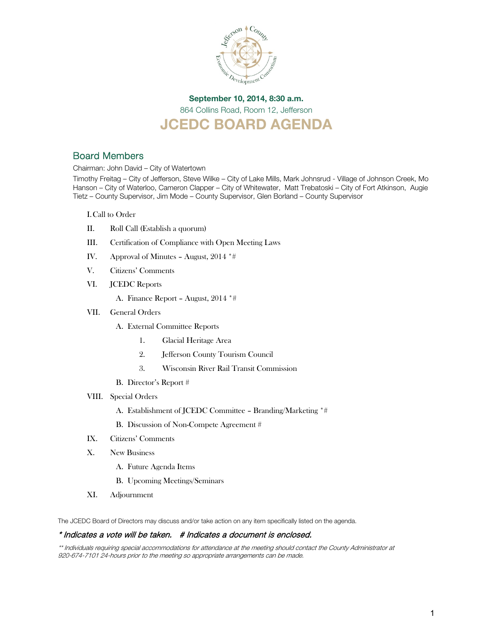

# September 10, 2014, 8:30 a.m. 864 Collins Road, Room 12, Jefferson JCEDC BOARD AGENDA

# Board Members

Chairman: John David – City of Watertown

Timothy Freitag – City of Jefferson, Steve Wilke – City of Lake Mills, Mark Johnsrud - Village of Johnson Creek, Mo Hanson – City of Waterloo, Cameron Clapper – City of Whitewater, Matt Trebatoski – City of Fort Atkinson, Augie Tietz – County Supervisor, Jim Mode – County Supervisor, Glen Borland – County Supervisor

I.Call to Order

- II. Roll Call (Establish a quorum)
- III. Certification of Compliance with Open Meeting Laws
- IV. Approval of Minutes August, 2014 \*#
- V. Citizens' Comments
- VI. JCEDC Reports
	- A. Finance Report August, 2014 \*#
- VII. General Orders
	- A. External Committee Reports
		- 1. Glacial Heritage Area
		- 2. Jefferson County Tourism Council
		- 3. Wisconsin River Rail Transit Commission
	- B. Director's Report #
- VIII. Special Orders
	- A. Establishment of JCEDC Committee Branding/Marketing \*#
	- B. Discussion of Non-Compete Agreement #
- IX. Citizens' Comments
- X. New Business
	- A. Future Agenda Items
	- B. Upcoming Meetings/Seminars
- XI. Adjournment

The JCEDC Board of Directors may discuss and/or take action on any item specifically listed on the agenda.

#### \* Indicates a vote will be taken. # Indicates a document is enclosed.

\*\* Individuals requiring special accommodations for attendance at the meeting should contact the County Administrator at 920-674-7101 24-hours prior to the meeting so appropriate arrangements can be made.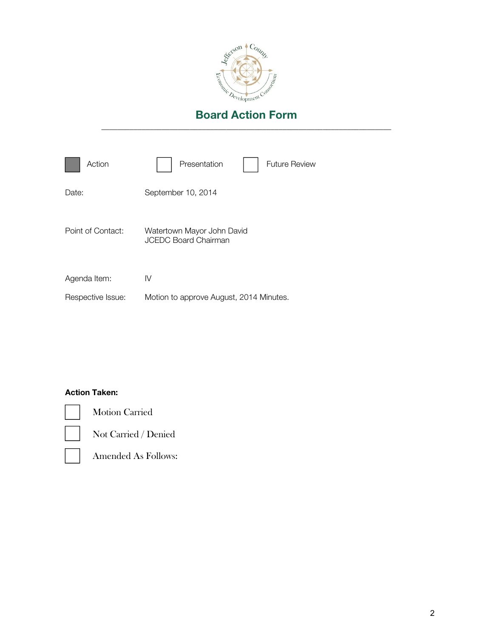

| Action            | Presentation<br>Future Review                             |
|-------------------|-----------------------------------------------------------|
| Date:             | September 10, 2014                                        |
| Point of Contact: | Watertown Mayor John David<br><b>JCEDC Board Chairman</b> |
| Agenda Item:      | IV                                                        |
| Respective Issue: | Motion to approve August, 2014 Minutes.                   |

#### Action Taken:



Motion Carried

Not Carried / Denied

Amended As Follows: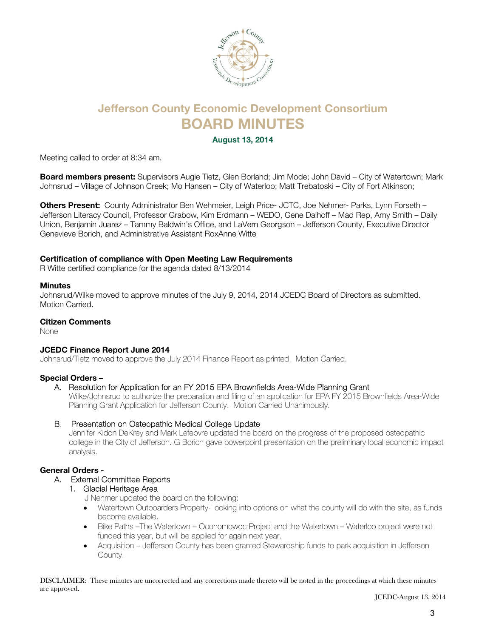

# Jefferson County Economic Development Consortium BOARD MINUTES

August 13, 2014

Meeting called to order at 8:34 am.

Board members present: Supervisors Augie Tietz, Glen Borland; Jim Mode; John David – City of Watertown; Mark Johnsrud – Village of Johnson Creek; Mo Hansen – City of Waterloo; Matt Trebatoski – City of Fort Atkinson;

Others Present: County Administrator Ben Wehmeier, Leigh Price- JCTC, Joe Nehmer- Parks, Lynn Forseth -Jefferson Literacy Council, Professor Grabow, Kim Erdmann – WEDO, Gene Dalhoff – Mad Rep, Amy Smith – Daily Union, Benjamin Juarez – Tammy Baldwin's Office, and LaVern Georgson – Jefferson County, Executive Director Genevieve Borich, and Administrative Assistant RoxAnne Witte

#### Certification of compliance with Open Meeting Law Requirements

R Witte certified compliance for the agenda dated 8/13/2014

#### **Minutes**

Johnsrud/Wilke moved to approve minutes of the July 9, 2014, 2014 JCEDC Board of Directors as submitted. Motion Carried.

#### Citizen Comments

None

#### JCEDC Finance Report June 2014

Johnsrud/Tietz moved to approve the July 2014 Finance Report as printed. Motion Carried.

#### Special Orders –

#### A. Resolution for Application for an FY 2015 EPA Brownfields Area-Wide Planning Grant

Wilke/Johnsrud to authorize the preparation and filing of an application for EPA FY 2015 Brownfields Area-Wide Planning Grant Application for Jefferson County. Motion Carried Unanimously.

#### B. Presentation on Osteopathic Medical College Update

Jennifer Kidon DeKrey and Mark Lefebvre updated the board on the progress of the proposed osteopathic college in the City of Jefferson. G Borich gave powerpoint presentation on the preliminary local economic impact analysis.

#### General Orders -

#### A. External Committee Reports

#### 1. Glacial Heritage Area

J Nehmer updated the board on the following:

- Watertown Outboarders Property- looking into options on what the county will do with the site, as funds become available.
- Bike Paths –The Watertown Oconomowoc Project and the Watertown Waterloo project were not funded this year, but will be applied for again next year.
- Acquisition Jefferson County has been granted Stewardship funds to park acquisition in Jefferson County.

DISCLAIMER: These minutes are uncorrected and any corrections made thereto will be noted in the proceedings at which these minutes are approved.

JCEDC-August 13, 2014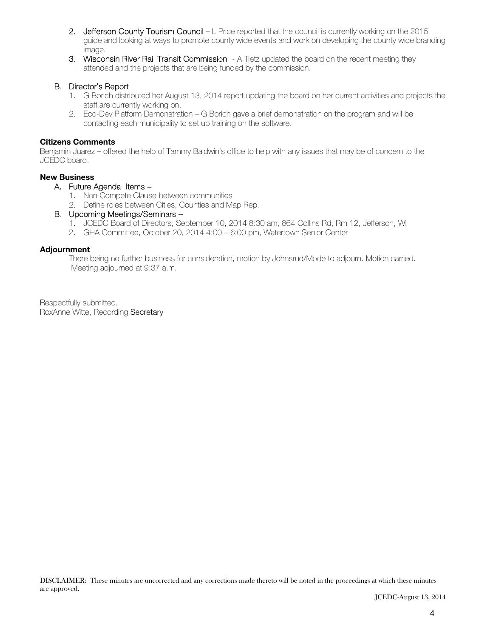- 2. Jefferson County Tourism Council L Price reported that the council is currently working on the 2015 guide and looking at ways to promote county wide events and work on developing the county wide branding image.
- 3. Wisconsin River Rail Transit Commission A Tietz updated the board on the recent meeting they attended and the projects that are being funded by the commission.

#### B. Director's Report

- 1. G Borich distributed her August 13, 2014 report updating the board on her current activities and projects the staff are currently working on.
- 2. Eco-Dev Platform Demonstration G Borich gave a brief demonstration on the program and will be contacting each municipality to set up training on the software.

#### Citizens Comments

Benjamin Juarez – offered the help of Tammy Baldwin's office to help with any issues that may be of concern to the JCEDC board.

#### New Business

#### A. Future Agenda Items –

- 1. Non Compete Clause between communities
- 2. Define roles between Cities, Counties and Map Rep.

#### B. Upcoming Meetings/Seminars –

- 1. JCEDC Board of Directors, September 10, 2014 8:30 am, 864 Collins Rd, Rm 12, Jefferson, WI
- 2. GHA Committee, October 20, 2014 4:00 6:00 pm, Watertown Senior Center

#### Adjournment

There being no further business for consideration, motion by Johnsrud/Mode to adjourn. Motion carried. Meeting adjourned at 9:37 a.m.

Respectfully submitted, RoxAnne Witte, Recording Secretary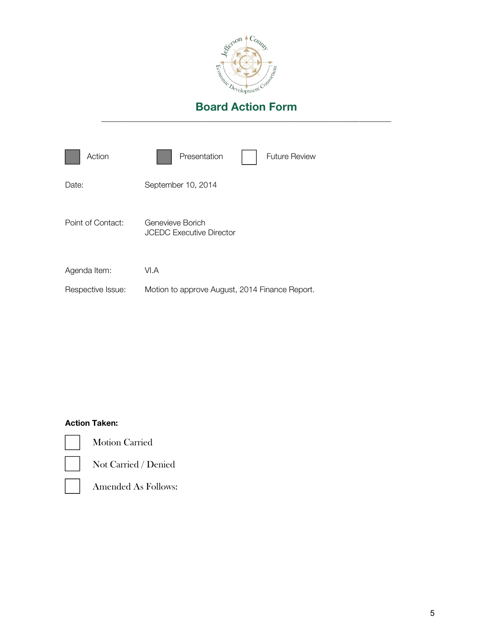

| Action            | Presentation<br><b>Future Review</b>                |
|-------------------|-----------------------------------------------------|
| Date:             | September 10, 2014                                  |
| Point of Contact: | Genevieve Borich<br><b>JCEDC Executive Director</b> |
| Agenda Item:      | VI.A                                                |
| Respective Issue: | Motion to approve August, 2014 Finance Report.      |

# Action Taken:



Motion Carried



Not Carried / Denied



Amended As Follows: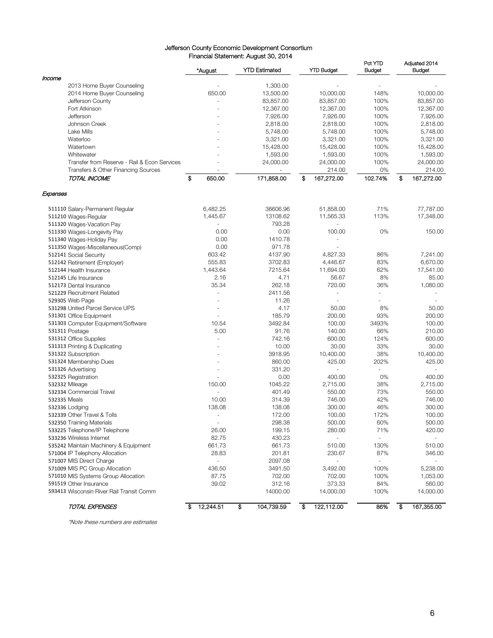#### Jefferson County Economic Development Consortium Financial Statement: August 30, 2014

|                                              | *August                  | <b>YTD Estimated</b>     | <b>YTD Budget</b>        | Pct YTD<br><b>Budget</b> | Adjusted 2014<br><b>Budget</b> |
|----------------------------------------------|--------------------------|--------------------------|--------------------------|--------------------------|--------------------------------|
| Income                                       |                          |                          |                          |                          |                                |
| 2013 Home Buyer Counseling                   |                          | 1,300.00                 |                          |                          |                                |
| 2014 Home Buyer Counseling                   | 650.00                   | 13,500.00                | 10,000.00                | 148%                     | 10,000.00                      |
| Jefferson County                             |                          | 83,857.00                | 83,857.00                | 100%                     | 83,857.00                      |
| Fort Atkinson                                |                          | 12,367.00                | 12,367.00                | 100%                     | 12,367.00                      |
| Jefferson                                    |                          | 7,926.00                 | 7,926.00                 | 100%                     | 7,926.00                       |
| Johnson Creek                                |                          | 2,818.00                 | 2,818.00                 | 100%                     | 2,818.00                       |
| Lake Mills                                   |                          | 5,748.00                 | 5,748.00                 | 100%                     | 5,748.00                       |
| Waterloo                                     |                          | 3,321.00                 | 3,321.00                 | 100%                     | 3,321.00                       |
| Watertown                                    |                          | 15,428.00                | 15,428.00                | 100%                     | 15,428.00                      |
| Whitewater                                   |                          | 1,593.00                 | 1,593.00                 | 100%                     | 1,593.00                       |
| Transfer from Reserve - Rail & Econ Services |                          | 24,000.00                | 24,000.00                | 100%                     | 24,000.00                      |
| Transfers & Other Financing Sources          |                          | $\overline{\phantom{a}}$ | 214.00                   | 0%                       | 214.00                         |
| TOTAL INCOME                                 | \$<br>650.00             | 171,858.00               | \$<br>167,272.00         | 102.74%                  | \$<br>167,272.00               |
| Expenses                                     |                          |                          |                          |                          |                                |
| 511110 Salary-Permanent Regular              | 6,482.25                 | 36606.96                 | 51,858.00                | 71%                      | 77,787.00                      |
| 511210 Wages-Regular                         | 1,445.67                 | 13108.62                 | 11,565.33                | 113%                     | 17,348.00                      |
| 511320 Wages-Vacation Pay                    |                          | 793.28                   |                          |                          |                                |
| 511330 Wages-Longevity Pay                   | 0.00                     | 0.00                     | 100.00                   | 0%                       | 150.00                         |
| 511340 Wages-Holiday Pay                     | 0.00                     | 1410.78                  |                          |                          |                                |
| 511350 Wages-Miscellaneous(Comp)             | 0.00                     | 971.78                   |                          |                          |                                |
| 512141 Social Security                       | 603.42                   | 4137.90                  | 4,827.33                 | 86%                      | 7.241.00                       |
|                                              | 555.83                   | 3702.83                  |                          | 83%                      |                                |
| 512142 Retirement (Employer)                 |                          |                          | 4,446.67                 |                          | 6,670.00                       |
| 512144 Health Insurance                      | 1,443.64                 | 7215.64                  | 11,694.00                | 62%                      | 17,541.00                      |
| 512145 Life Insurance                        | 2.16                     | 4.71                     | 56.67                    | 8%                       | 85.00                          |
| 512173 Dental Insurance                      | 35.34                    | 262.18                   | 720.00                   | 36%                      | 1,080.00                       |
| 521229 Recruitment Related                   |                          | 2411.56                  |                          | $\sim$                   |                                |
| 529305 Web Page                              |                          | 11.26                    |                          | $\sim$                   |                                |
| 531298 United Parcel Service UPS             |                          | 4.17                     | 50.00                    | 8%                       | 50.00                          |
| 531301 Office Equipment                      |                          | 185.79                   | 200.00                   | 93%                      | 200.00                         |
| 531303 Computer Equipment/Software           | 10.54                    | 3492.84                  | 100.00                   | 3493%                    | 100.00                         |
| 531311 Postage                               | 5.00                     | 91.76                    | 140.00                   | 66%                      | 210.00                         |
| 531312 Office Supplies                       |                          | 742.16                   | 600.00                   | 124%                     | 600.00                         |
| 531313 Printing & Duplicating                |                          | 10.00                    | 30.00                    | 33%                      | 30.00                          |
| 531322 Subscription                          |                          | 3918.95                  | 10,400.00                | 38%                      | 10,400.00                      |
| 531324 Membership Dues                       |                          | 860.00                   | 425.00                   | 202%                     | 425.00                         |
| 531326 Advertising                           |                          | 331.20                   | ÷.                       |                          | ÷                              |
| 532325 Registration                          |                          | 0.00                     | 400.00                   | 0%                       | 400.00                         |
| 532332 Mileage                               | 150.00                   | 1045.22                  | 2,715.00                 | 38%                      | 2,715.00                       |
| 532334 Commercial Travel                     |                          | 401.49                   | 550.00                   | 73%                      | 550.00                         |
| 532335 Meals                                 | 10.00                    |                          | 746.00                   | 42%                      | 746.00                         |
|                                              |                          | 314.39                   |                          |                          |                                |
| 532336 Lodging                               | 138.08                   | 138.08                   | 300.00                   | 46%                      | 300.00                         |
| 532339 Other Travel & Tolls                  | $\sim$                   | 172.00                   | 100.00                   | 172%                     | 100.00                         |
| 532350 Training Materials                    |                          | 298.38                   | 500.00                   | 60%                      | 500.00                         |
| 533225 Telephone/IP Telephone                | 26.00                    | 199.15                   | 280.00                   | 71%                      | 420.00                         |
| 533236 Wireless Internet                     | 82.75                    | 430.23                   | $\overline{\phantom{a}}$ | $\sim$                   | $\blacksquare$                 |
| 535242 Maintain Machinery & Equipment        | 661.73                   | 661.73                   | 510.00                   | 130%                     | 510.00                         |
| 571004 IP Telephony Allocation               | 28.83                    | 201.81                   | 230.67                   | 87%                      | 346.00                         |
| 571007 MIS Direct Charge                     | $\overline{\phantom{a}}$ | 2097.08                  |                          | ÷,                       |                                |
| 571009 MIS PC Group Allocation               | 436.50                   | 3491.50                  | 3,492.00                 | 100%                     | 5,238.00                       |
| 571010 MIS Systems Group Allocation          | 87.75                    | 702.00                   | 702.00                   | 100%                     | 1,053.00                       |
| 591519 Other Insurance                       | 39.02                    | 312.16                   | 373.33                   | 84%                      | 560.00                         |
| 593413 Wisconsin River Rail Transit Comm     |                          | 14000.00                 | 14,000.00                | 100%                     | 14,000.00                      |
| TOTAL EXPENSES                               | 12,244.51<br>\$          | \$<br>104,739.59         | 122,112.00<br>S          | 86%                      | \$<br>167,355.00               |

\*Note these numbers are estimates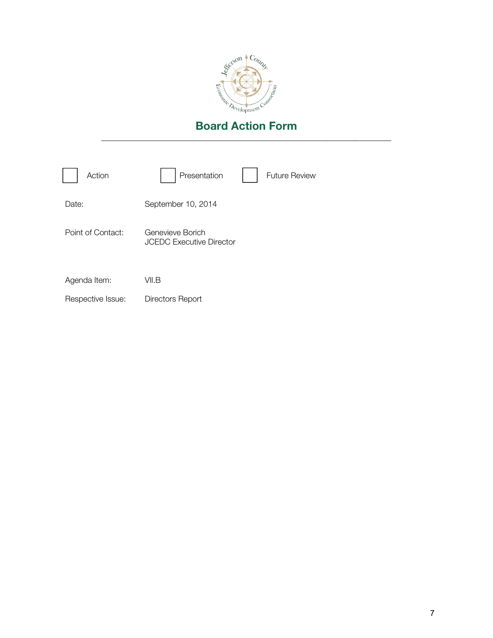

| Action            | Presentation                                        | <b>Future Review</b> |
|-------------------|-----------------------------------------------------|----------------------|
| Date:             | September 10, 2014                                  |                      |
| Point of Contact: | Genevieve Borich<br><b>JCEDC Executive Director</b> |                      |
| Agenda Item:      | VII.B                                               |                      |
| Respective Issue: | Directors Report                                    |                      |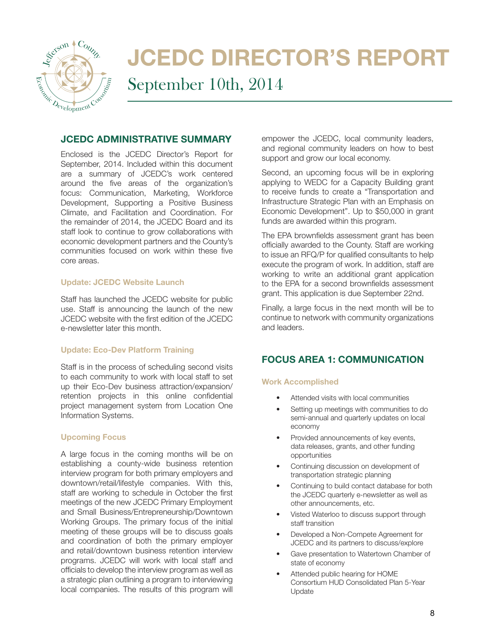

# JCEDC DIRECTOR'S REPORT September 10th, 2014

#### JCEDC ADMINISTRATIVE SUMMARY

Enclosed is the JCEDC Director's Report for September, 2014. Included within this document are a summary of JCEDC's work centered around the five areas of the organization's focus: Communication, Marketing, Workforce Development, Supporting a Positive Business Climate, and Facilitation and Coordination. For the remainder of 2014, the JCEDC Board and its staff look to continue to grow collaborations with economic development partners and the County's communities focused on work within these five core areas.

#### Update: JCEDC Website Launch

Staff has launched the JCEDC website for public use. Staff is announcing the launch of the new JCEDC website with the first edition of the JCEDC e-newsletter later this month.

#### Update: Eco-Dev Platform Training

Staff is in the process of scheduling second visits to each community to work with local staff to set up their Eco-Dev business attraction/expansion/ retention projects in this online confidential project management system from Location One Information Systems.

#### Upcoming Focus

A large focus in the coming months will be on establishing a county-wide business retention interview program for both primary employers and downtown/retail/lifestyle companies. With this, staff are working to schedule in October the first meetings of the new JCEDC Primary Employment and Small Business/Entrepreneurship/Downtown Working Groups. The primary focus of the initial meeting of these groups will be to discuss goals and coordination of both the primary employer and retail/downtown business retention interview programs. JCEDC will work with local staff and officials to develop the interview program as well as a strategic plan outlining a program to interviewing local companies. The results of this program will

empower the JCEDC, local community leaders, and regional community leaders on how to best support and grow our local economy.

Second, an upcoming focus will be in exploring applying to WEDC for a Capacity Building grant to receive funds to create a "Transportation and Infrastructure Strategic Plan with an Emphasis on Economic Development". Up to \$50,000 in grant funds are awarded within this program.

The EPA brownfields assessment grant has been officially awarded to the County. Staff are working to issue an RFQ/P for qualified consultants to help execute the program of work. In addition, staff are working to write an additional grant application to the EPA for a second brownfields assessment grant. This application is due September 22nd.

Finally, a large focus in the next month will be to continue to network with community organizations and leaders.

# FOCUS AREA 1: COMMUNICATION

#### Work Accomplished

- Attended visits with local communities
- Setting up meetings with communities to do semi-annual and quarterly updates on local economy
- Provided announcements of key events, data releases, grants, and other funding opportunities
- Continuing discussion on development of transportation strategic planning
- Continuing to build contact database for both the JCEDC quarterly e-newsletter as well as other announcements, etc.
- Visted Waterloo to discuss support through staff transition
- Developed a Non-Compete Agreement for JCEDC and its partners to discuss/explore
- Gave presentation to Watertown Chamber of state of economy
- Attended public hearing for HOME Consortium HUD Consolidated Plan 5-Year Update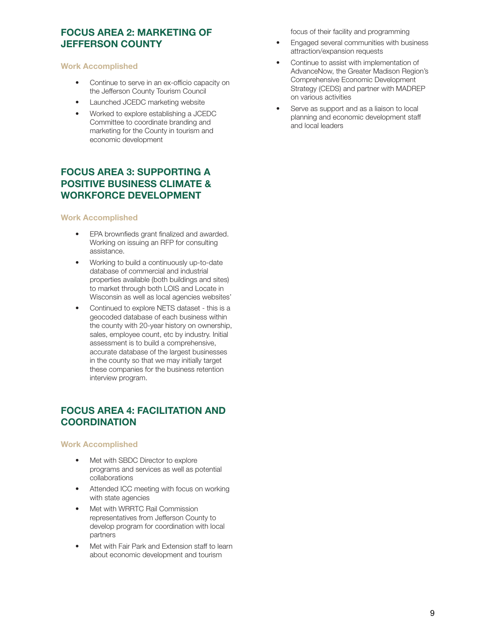# FOCUS AREA 2: MARKETING OF JEFFERSON COUNTY

#### Work Accomplished

- Continue to serve in an ex-officio capacity on the Jefferson County Tourism Council
- Launched JCEDC marketing website
- Worked to explore establishing a JCEDC Committee to coordinate branding and marketing for the County in tourism and economic development

# FOCUS AREA 3: SUPPORTING A POSITIVE BUSINESS CLIMATE & WORKFORCE DEVELOPMENT

#### Work Accomplished

- EPA brownfieds grant finalized and awarded. Working on issuing an RFP for consulting assistance.
- Working to build a continuously up-to-date database of commercial and industrial properties available (both buildings and sites) to market through both LOIS and Locate in Wisconsin as well as local agencies websites'
- Continued to explore NETS dataset this is a geocoded database of each business within the county with 20-year history on ownership, sales, employee count, etc by industry. Initial assessment is to build a comprehensive, accurate database of the largest businesses in the county so that we may initially target these companies for the business retention interview program.

# FOCUS AREA 4: FACILITATION AND **COORDINATION**

#### Work Accomplished

- Met with SBDC Director to explore programs and services as well as potential collaborations
- Attended ICC meeting with focus on working with state agencies
- Met with WRRTC Rail Commission representatives from Jefferson County to develop program for coordination with local partners
- Met with Fair Park and Extension staff to learn about economic development and tourism

focus of their facility and programming

- Engaged several communities with business attraction/expansion requests
- Continue to assist with implementation of AdvanceNow, the Greater Madison Region's Comprehensive Economic Development Strategy (CEDS) and partner with MADREP on various activities
- Serve as support and as a liaison to local planning and economic development staff and local leaders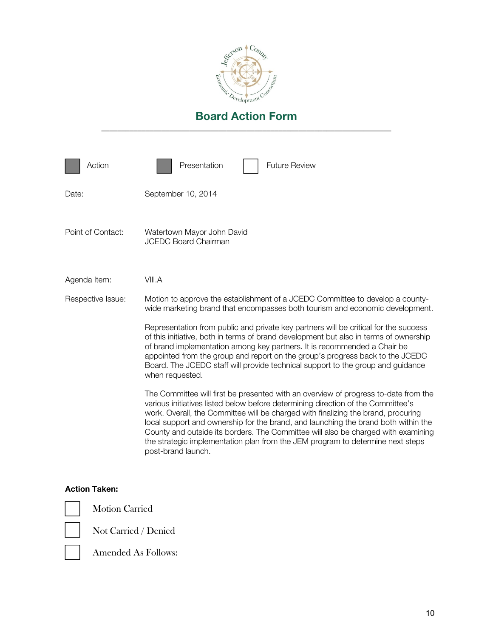

| Action            | <b>Future Review</b><br>Presentation                                                                                                                                                                                                                                                                                                                                                                                                                                                                                                            |
|-------------------|-------------------------------------------------------------------------------------------------------------------------------------------------------------------------------------------------------------------------------------------------------------------------------------------------------------------------------------------------------------------------------------------------------------------------------------------------------------------------------------------------------------------------------------------------|
| Date:             | September 10, 2014                                                                                                                                                                                                                                                                                                                                                                                                                                                                                                                              |
| Point of Contact: | Watertown Mayor John David<br><b>JCEDC Board Chairman</b>                                                                                                                                                                                                                                                                                                                                                                                                                                                                                       |
| Agenda Item:      | VIII.A                                                                                                                                                                                                                                                                                                                                                                                                                                                                                                                                          |
| Respective Issue: | Motion to approve the establishment of a JCEDC Committee to develop a county-<br>wide marketing brand that encompasses both tourism and economic development.                                                                                                                                                                                                                                                                                                                                                                                   |
|                   | Representation from public and private key partners will be critical for the success<br>of this initiative, both in terms of brand development but also in terms of ownership<br>of brand implementation among key partners. It is recommended a Chair be<br>appointed from the group and report on the group's progress back to the JCEDC<br>Board. The JCEDC staff will provide technical support to the group and guidance<br>when requested.                                                                                                |
|                   | The Committee will first be presented with an overview of progress to-date from the<br>various initiatives listed below before determining direction of the Committee's<br>work. Overall, the Committee will be charged with finalizing the brand, procuring<br>local support and ownership for the brand, and launching the brand both within the<br>County and outside its borders. The Committee will also be charged with examining<br>the strategic implementation plan from the JEM program to determine next steps<br>post-brand launch. |

#### Action Taken:



Motion Carried

Not Carried / Denied



Amended As Follows: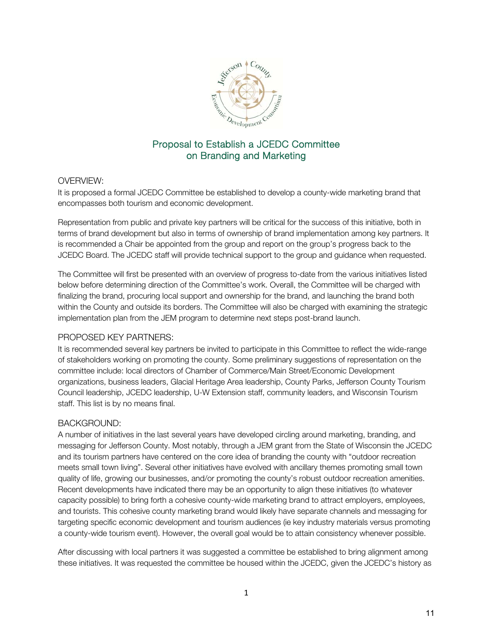

# Proposal to Establish a JCEDC Committee on Branding and Marketing

#### OVERVIEW:

It is proposed a formal JCEDC Committee be established to develop a county-wide marketing brand that encompasses both tourism and economic development.

Representation from public and private key partners will be critical for the success of this initiative, both in terms of brand development but also in terms of ownership of brand implementation among key partners. It is recommended a Chair be appointed from the group and report on the group's progress back to the JCEDC Board. The JCEDC staff will provide technical support to the group and guidance when requested.

The Committee will first be presented with an overview of progress to-date from the various initiatives listed below before determining direction of the Committee's work. Overall, the Committee will be charged with finalizing the brand, procuring local support and ownership for the brand, and launching the brand both within the County and outside its borders. The Committee will also be charged with examining the strategic implementation plan from the JEM program to determine next steps post-brand launch.

#### PROPOSED KEY PARTNERS:

It is recommended several key partners be invited to participate in this Committee to reflect the wide-range of stakeholders working on promoting the county. Some preliminary suggestions of representation on the committee include: local directors of Chamber of Commerce/Main Street/Economic Development organizations, business leaders, Glacial Heritage Area leadership, County Parks, Jefferson County Tourism Council leadership, JCEDC leadership, U-W Extension staff, community leaders, and Wisconsin Tourism staff. This list is by no means final.

# BACKGROUND:

A number of initiatives in the last several years have developed circling around marketing, branding, and messaging for Jefferson County. Most notably, through a JEM grant from the State of Wisconsin the JCEDC and its tourism partners have centered on the core idea of branding the county with "outdoor recreation meets small town living". Several other initiatives have evolved with ancillary themes promoting small town quality of life, growing our businesses, and/or promoting the county's robust outdoor recreation amenities. Recent developments have indicated there may be an opportunity to align these initiatives (to whatever capacity possible) to bring forth a cohesive county-wide marketing brand to attract employers, employees, and tourists. This cohesive county marketing brand would likely have separate channels and messaging for targeting specific economic development and tourism audiences (ie key industry materials versus promoting a county-wide tourism event). However, the overall goal would be to attain consistency whenever possible.

After discussing with local partners it was suggested a committee be established to bring alignment among these initiatives. It was requested the committee be housed within the JCEDC, given the JCEDC's history as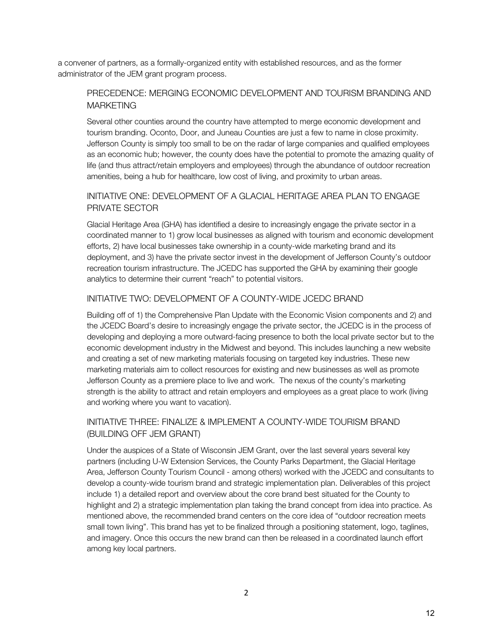a convener of partners, as a formally-organized entity with established resources, and as the former administrator of the JEM grant program process.

# PRECEDENCE: MERGING ECONOMIC DEVELOPMENT AND TOURISM BRANDING AND MARKETING

Several other counties around the country have attempted to merge economic development and tourism branding. Oconto, Door, and Juneau Counties are just a few to name in close proximity. Jefferson County is simply too small to be on the radar of large companies and qualified employees as an economic hub; however, the county does have the potential to promote the amazing quality of life (and thus attract/retain employers and employees) through the abundance of outdoor recreation amenities, being a hub for healthcare, low cost of living, and proximity to urban areas.

# INITIATIVE ONE: DEVELOPMENT OF A GLACIAL HERITAGE AREA PLAN TO ENGAGE PRIVATE SECTOR

Glacial Heritage Area (GHA) has identified a desire to increasingly engage the private sector in a coordinated manner to 1) grow local businesses as aligned with tourism and economic development efforts, 2) have local businesses take ownership in a county-wide marketing brand and its deployment, and 3) have the private sector invest in the development of Jefferson County's outdoor recreation tourism infrastructure. The JCEDC has supported the GHA by examining their google analytics to determine their current "reach" to potential visitors.

# INITIATIVE TWO: DEVELOPMENT OF A COUNTY-WIDE JCEDC BRAND

Building off of 1) the Comprehensive Plan Update with the Economic Vision components and 2) and the JCEDC Board's desire to increasingly engage the private sector, the JCEDC is in the process of developing and deploying a more outward-facing presence to both the local private sector but to the economic development industry in the Midwest and beyond. This includes launching a new website and creating a set of new marketing materials focusing on targeted key industries. These new marketing materials aim to collect resources for existing and new businesses as well as promote Jefferson County as a premiere place to live and work. The nexus of the county's marketing strength is the ability to attract and retain employers and employees as a great place to work (living and working where you want to vacation).

# INITIATIVE THREE: FINALIZE & IMPLEMENT A COUNTY-WIDE TOURISM BRAND (BUILDING OFF JEM GRANT)

Under the auspices of a State of Wisconsin JEM Grant, over the last several years several key partners (including U-W Extension Services, the County Parks Department, the Glacial Heritage Area, Jefferson County Tourism Council - among others) worked with the JCEDC and consultants to develop a county-wide tourism brand and strategic implementation plan. Deliverables of this project include 1) a detailed report and overview about the core brand best situated for the County to highlight and 2) a strategic implementation plan taking the brand concept from idea into practice. As mentioned above, the recommended brand centers on the core idea of "outdoor recreation meets small town living". This brand has yet to be finalized through a positioning statement, logo, taglines, and imagery. Once this occurs the new brand can then be released in a coordinated launch effort among key local partners.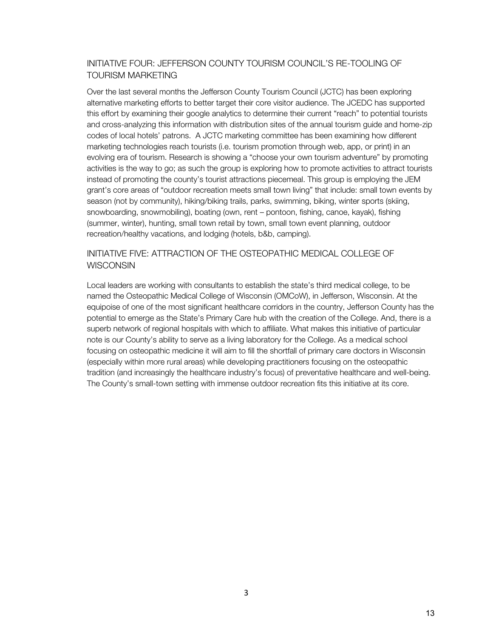# INITIATIVE FOUR: JEFFERSON COUNTY TOURISM COUNCIL'S RE-TOOLING OF TOURISM MARKETING

Over the last several months the Jefferson County Tourism Council (JCTC) has been exploring alternative marketing efforts to better target their core visitor audience. The JCEDC has supported this effort by examining their google analytics to determine their current "reach" to potential tourists and cross-analyzing this information with distribution sites of the annual tourism guide and home-zip codes of local hotels' patrons. A JCTC marketing committee has been examining how different marketing technologies reach tourists (i.e. tourism promotion through web, app, or print) in an evolving era of tourism. Research is showing a "choose your own tourism adventure" by promoting activities is the way to go; as such the group is exploring how to promote activities to attract tourists instead of promoting the county's tourist attractions piecemeal. This group is employing the JEM grant's core areas of "outdoor recreation meets small town living" that include: small town events by season (not by community), hiking/biking trails, parks, swimming, biking, winter sports (skiing, snowboarding, snowmobiling), boating (own, rent – pontoon, fishing, canoe, kayak), fishing (summer, winter), hunting, small town retail by town, small town event planning, outdoor recreation/healthy vacations, and lodging (hotels, b&b, camping).

# INITIATIVE FIVE: ATTRACTION OF THE OSTEOPATHIC MEDICAL COLLEGE OF **WISCONSIN**

Local leaders are working with consultants to establish the state's third medical college, to be named the Osteopathic Medical College of Wisconsin (OMCoW), in Jefferson, Wisconsin. At the equipoise of one of the most significant healthcare corridors in the country, Jefferson County has the potential to emerge as the State's Primary Care hub with the creation of the College. And, there is a superb network of regional hospitals with which to affiliate. What makes this initiative of particular note is our County's ability to serve as a living laboratory for the College. As a medical school focusing on osteopathic medicine it will aim to fill the shortfall of primary care doctors in Wisconsin (especially within more rural areas) while developing practitioners focusing on the osteopathic tradition (and increasingly the healthcare industry's focus) of preventative healthcare and well-being. The County's small-town setting with immense outdoor recreation fits this initiative at its core.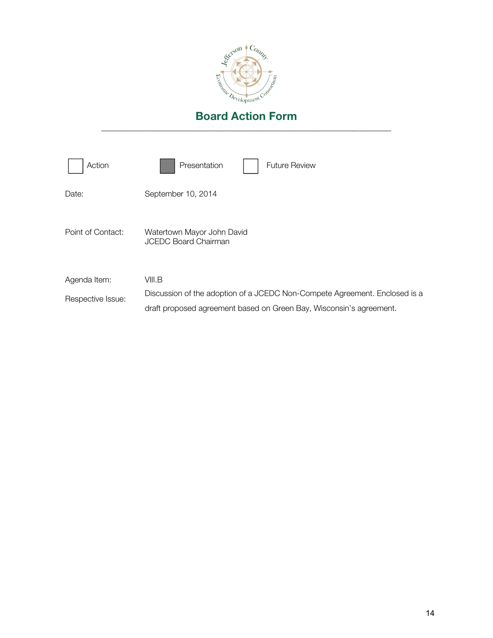

| Action                            | Presentation<br><b>Future Review</b>                                                                                                                        |
|-----------------------------------|-------------------------------------------------------------------------------------------------------------------------------------------------------------|
| Date:                             | September 10, 2014                                                                                                                                          |
| Point of Contact:                 | Watertown Mayor John David<br><b>JCEDC Board Chairman</b>                                                                                                   |
| Agenda Item:<br>Respective Issue: | VIII.B<br>Discussion of the adoption of a JCEDC Non-Compete Agreement. Enclosed is a<br>draft proposed agreement based on Green Bay, Wisconsin's agreement. |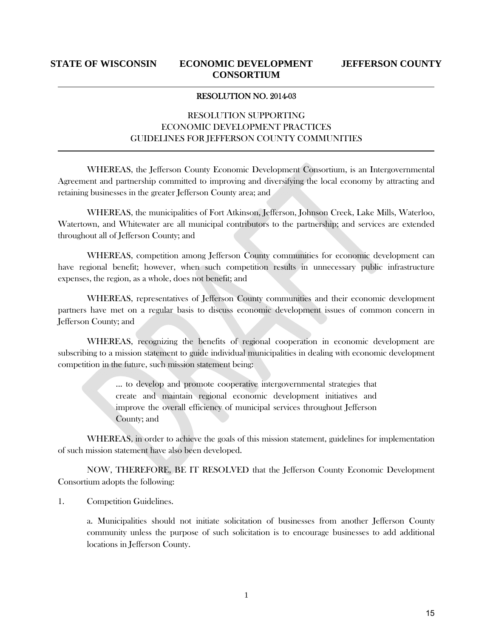#### RESOLUTION NO. 2014-03

# RESOLUTION SUPPORTING ECONOMIC DEVELOPMENT PRACTICES GUIDELINES FOR JEFFERSON COUNTY COMMUNITIES

WHEREAS, the Jefferson County Economic Development Consortium, is an Intergovernmental Agreement and partnership committed to improving and diversifying the local economy by attracting and retaining businesses in the greater Jefferson County area; and

WHEREAS, the municipalities of Fort Atkinson, Jefferson, Johnson Creek, Lake Mills, Waterloo, Watertown, and Whitewater are all municipal contributors to the partnership; and services are extended throughout all of Jefferson County; and

WHEREAS, competition among Jefferson County communities for economic development can have regional benefit; however, when such competition results in unnecessary public infrastructure expenses, the region, as a whole, does not benefit; and

WHEREAS, representatives of Jefferson County communities and their economic development partners have met on a regular basis to discuss economic development issues of common concern in Jefferson County; and

WHEREAS, recognizing the benefits of regional cooperation in economic development are subscribing to a mission statement to guide individual municipalities in dealing with economic development competition in the future, such mission statement being:

> ... to develop and promote cooperative intergovernmental strategies that create and maintain regional economic development initiatives and improve the overall efficiency of municipal services throughout Jefferson County; and

WHEREAS, in order to achieve the goals of this mission statement, guidelines for implementation of such mission statement have also been developed.

NOW, THEREFORE, BE IT RESOLVED that the Jefferson County Economic Development Consortium adopts the following:

1. Competition Guidelines.

a. Municipalities should not initiate solicitation of businesses from another Jefferson County community unless the purpose of such solicitation is to encourage businesses to add additional locations in Jefferson County.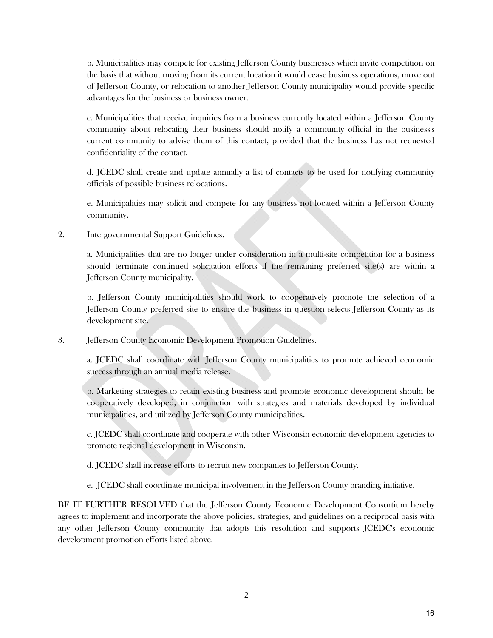b. Municipalities may compete for existing Jefferson County businesses which invite competition on the basis that without moving from its current location it would cease business operations, move out of Jefferson County, or relocation to another Jefferson County municipality would provide specific advantages for the business or business owner.

c. Municipalities that receive inquiries from a business currently located within a Jefferson County community about relocating their business should notify a community official in the business's current community to advise them of this contact, provided that the business has not requested confidentiality of the contact.

d. JCEDC shall create and update annually a list of contacts to be used for notifying community officials of possible business relocations.

e. Municipalities may solicit and compete for any business not located within a Jefferson County community.

2. Intergovernmental Support Guidelines.

a. Municipalities that are no longer under consideration in a multi-site competition for a business should terminate continued solicitation efforts if the remaining preferred site(s) are within a Jefferson County municipality.

b. Jefferson County municipalities should work to cooperatively promote the selection of a Jefferson County preferred site to ensure the business in question selects Jefferson County as its development site.

3. Jefferson County Economic Development Promotion Guidelines.

a. JCEDC shall coordinate with Jefferson County municipalities to promote achieved economic success through an annual media release.

b. Marketing strategies to retain existing business and promote economic development should be cooperatively developed, in conjunction with strategies and materials developed by individual municipalities, and utilized by Jefferson County municipalities.

c. JCEDC shall coordinate and cooperate with other Wisconsin economic development agencies to promote regional development in Wisconsin.

d. JCEDC shall increase efforts to recruit new companies to Jefferson County.

e. JCEDC shall coordinate municipal involvement in the Jefferson County branding initiative.

BE IT FURTHER RESOLVED that the Jefferson County Economic Development Consortium hereby agrees to implement and incorporate the above policies, strategies, and guidelines on a reciprocal basis with any other Jefferson County community that adopts this resolution and supports JCEDC's economic development promotion efforts listed above.